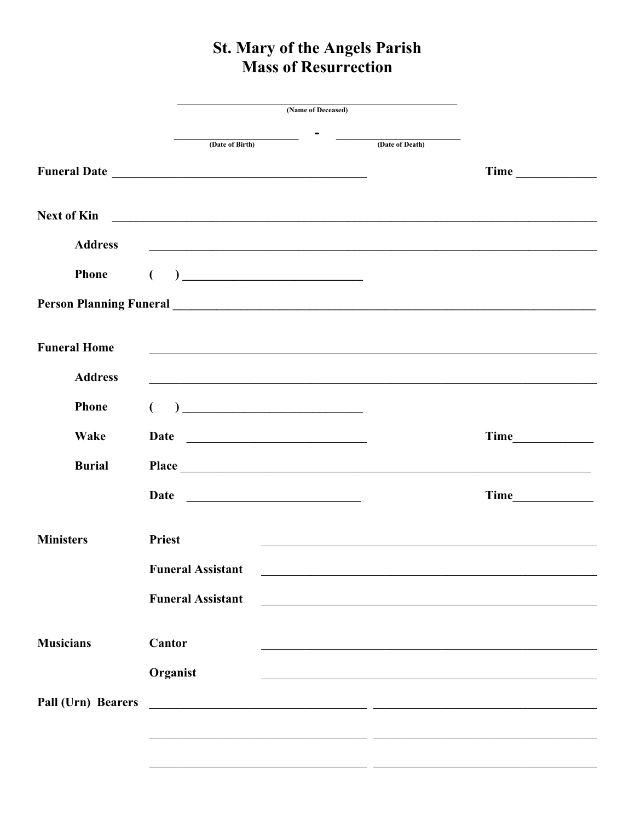## St. Mary of the Angels Parish **Mass of Resurrection**

|                     |                                                                                                                                                                                                                                                                                                                                                                                             | (Name of Deceased)                                                       |                                                   |
|---------------------|---------------------------------------------------------------------------------------------------------------------------------------------------------------------------------------------------------------------------------------------------------------------------------------------------------------------------------------------------------------------------------------------|--------------------------------------------------------------------------|---------------------------------------------------|
|                     | the control of the control of the control of<br>(Date of Birth)                                                                                                                                                                                                                                                                                                                             | (Date of Death)                                                          |                                                   |
|                     |                                                                                                                                                                                                                                                                                                                                                                                             |                                                                          |                                                   |
| <b>Next of Kin</b>  | <u> Andreas Andreas Andreas Andreas Andreas Andreas Andreas Andreas Andreas Andreas Andreas Andreas Andreas Andr</u>                                                                                                                                                                                                                                                                        |                                                                          |                                                   |
| <b>Address</b>      | <u> 1989 - Johann John Harry Harry Harry Harry Harry Harry Harry Harry Harry Harry Harry Harry Harry Harry Harry H</u>                                                                                                                                                                                                                                                                      |                                                                          |                                                   |
| <b>Phone</b>        | $\begin{picture}(150,10) \put(0,0){\dashbox{0.5}(10,0){ }} \put(15,0){\circle{10}} \put(15,0){\circle{10}} \put(15,0){\circle{10}} \put(15,0){\circle{10}} \put(15,0){\circle{10}} \put(15,0){\circle{10}} \put(15,0){\circle{10}} \put(15,0){\circle{10}} \put(15,0){\circle{10}} \put(15,0){\circle{10}} \put(15,0){\circle{10}} \put(15,0){\circle{10}} \put(15,0){\circle{10}} \put(15$ |                                                                          |                                                   |
|                     |                                                                                                                                                                                                                                                                                                                                                                                             |                                                                          |                                                   |
| <b>Funeral Home</b> | <u> 1989 - Johann Stoff, deutscher Stoffen und der Stoffen und der Stoffen und der Stoffen und der Stoffen und der</u>                                                                                                                                                                                                                                                                      |                                                                          |                                                   |
| <b>Address</b>      |                                                                                                                                                                                                                                                                                                                                                                                             |                                                                          |                                                   |
| <b>Phone</b>        | $\begin{picture}(20,10) \put(0,0){\vector(1,0){100}} \put(15,0){\vector(1,0){100}} \put(15,0){\vector(1,0){100}} \put(15,0){\vector(1,0){100}} \put(15,0){\vector(1,0){100}} \put(15,0){\vector(1,0){100}} \put(15,0){\vector(1,0){100}} \put(15,0){\vector(1,0){100}} \put(15,0){\vector(1,0){100}} \put(15,0){\vector(1,0){100}} \put(15,0){\vector(1,0){100}} \$                         |                                                                          |                                                   |
| Wake                |                                                                                                                                                                                                                                                                                                                                                                                             |                                                                          |                                                   |
| <b>Burial</b>       |                                                                                                                                                                                                                                                                                                                                                                                             |                                                                          | <u> 1989 - Johann Barbara, martxa alemaniar a</u> |
|                     | Date                                                                                                                                                                                                                                                                                                                                                                                        |                                                                          |                                                   |
| <b>Ministers</b>    | <b>Priest</b>                                                                                                                                                                                                                                                                                                                                                                               |                                                                          |                                                   |
|                     | <b>Funeral Assistant</b>                                                                                                                                                                                                                                                                                                                                                                    |                                                                          |                                                   |
|                     | <b>Funeral Assistant</b>                                                                                                                                                                                                                                                                                                                                                                    | <u> 1989 - Johann John Stone, mars an deus Amerikaansk kommunister (</u> |                                                   |
| <b>Musicians</b>    | Cantor                                                                                                                                                                                                                                                                                                                                                                                      |                                                                          |                                                   |
|                     | Organist                                                                                                                                                                                                                                                                                                                                                                                    |                                                                          |                                                   |
| Pall (Urn) Bearers  |                                                                                                                                                                                                                                                                                                                                                                                             |                                                                          |                                                   |
|                     |                                                                                                                                                                                                                                                                                                                                                                                             |                                                                          |                                                   |
|                     |                                                                                                                                                                                                                                                                                                                                                                                             |                                                                          |                                                   |